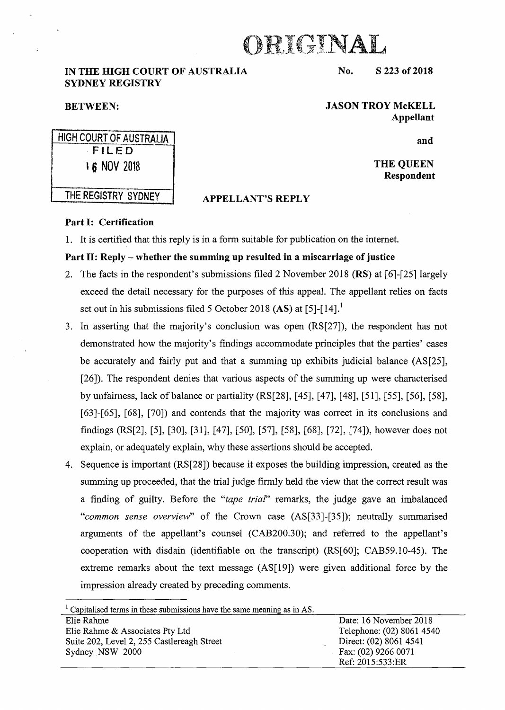# DRIGINAL

# IN THE HIGH COURT OF AUSTRALIA SYDNEY REGISTRY

## No. S 223 of 2018

JASON TROY McKELL Appellant

and

THE QUEEN Respondent

# THE REGISTRY SYDNEY | APPELLANT'S REPLY

HIGH COURT OF AUSTRALIA FILED 16 NOV 2018

BETWEEN:

# Part I: Certification

1. It is certified that this reply is in a form suitable for publication on the internet.

# Part II: Reply – whether the summing up resulted in a miscarriage of justice

- 2. The facts in the respondent's submissions filed 2 November 2018 (RS) at [6]-[25] largely exceed the detail necessary for the purposes of this appeal. The appellant relies on facts set out in his submissions filed 5 October 2018 (AS) at [5]-[14].<sup>1</sup>
- 3. In asserting that the majority's conclusion was open (RS[27]), the respondent has not demonstrated how the majority's findings accommodate principles that the parties' cases be accurately and fairly put and that a summing up exhibits judicial balance (AS[25], [26]). The respondent denies that various aspects of the summing up were characterised by unfairness, lack of balance or partiality (RS[28], [45], [47], [48], [51], [55], [56], [58], [63]-[65], [68], [70]) and contends that the majority was correct in its conclusions and findings (RS[2], [5], [30], [31], [47], [50], [57], [58], [68], [72], [74]), however does not explain, or adequately explain, why these assertions should be accepted.
- 4. Sequence is important (RS[28]) because it exposes the building impression, created as the summing up proceeded, that the trial judge firmly held the view that the correct result was a finding of guilty. Before the *"tape trial"* remarks, the judge gave an imbalanced *"common sense overview"* of the Crown case (AS[33]-[35]); neutrally summarised arguments of the appellant's counsel (CAB200.30); and referred to the appellant's cooperation with disdain (identifiable on the transcript) (RS[60]; CAB59.10-45). The extreme remarks about the text message (AS[19]) were given additional force by the impression already created by preceding comments.

 $<sup>1</sup>$  Capitalised terms in these submissions have the same meaning as in AS.</sup>

| Elie Rahme                                 | Date: 16 November 2018    |
|--------------------------------------------|---------------------------|
| Elie Rahme & Associates Pty Ltd            | Telephone: (02) 8061 4540 |
| Suite 202, Level 2, 255 Castlereagh Street | Direct: (02) 8061 4541    |
| Sydney NSW 2000                            | Fax: (02) 9266 0071       |
|                                            | Ref: 2015:533:ER          |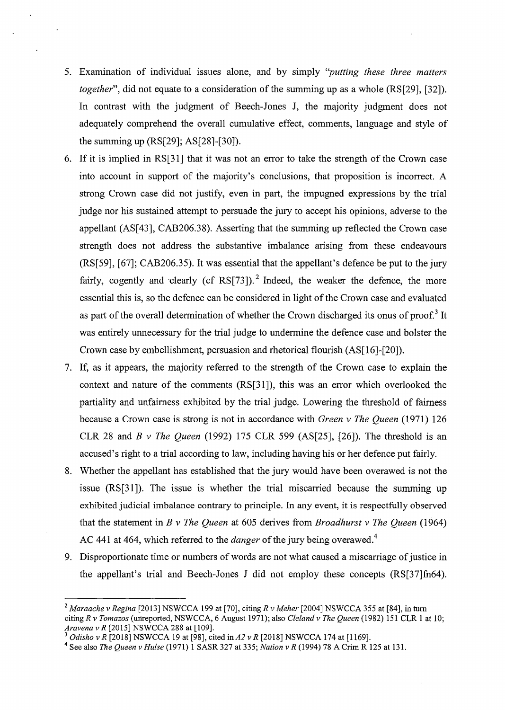- 5. Examination of individual issues alone, and by simply *''putting these three matters together",* did not equate to a consideration of the summing up as a whole (RS[29], [32]). In contrast with the judgment of Beech-Jones J, the majority judgment does not adequately comprehend the overall cumulative effect, comments, language and style of the summing up (RS[29]; AS[28]-[30]).
- 6. If it is implied in RS[31] that it was not an error to take the strength of the Crown case into account in support of the majority's conclusions, that proposition is incorrect. A strong Crown case did not justify, even in part, the impugned expressions by the trial judge nor his sustained attempt to persuade the jury to accept his opinions, adverse to the appellant (AS[43], CAB206.38). Asserting that the summing up reflected the Crown case strength does not address the substantive imbalance arising from these endeavours (RS[59], [67]; CAB206.35). It was essential that the appellant's defence be put to the jury fairly, cogently and clearly (cf RS[73]).<sup>2</sup> Indeed, the weaker the defence, the more essential this is, so the defence can be considered in light of the Crown case and evaluated as part of the overall determination of whether the Crown discharged its onus of proof.<sup>3</sup> It was entirely unnecessary for the trial judge to undermine the defence case and bolster the Crown case by embellishment, persuasion and rhetorical flourish (AS[16]-[20]).
- 7. If, as it appears, the majority referred to the strength of the Crown case to explain the context and nature of the comments (RS[31]), this was an error which overlooked the partiality and unfairness exhibited by the trial judge. Lowering the threshold of fairness because a Crown case is strong is not in accordance with *Green v The Queen* (1971) 126 CLR 28 and *B v The Queen* (1992) 175 CLR 599 (AS[25], [26]). The threshold is an accused's right to a trial according to law, including having his or her defence put fairly.
- 8. Whether the appellant has established that the jury would have been overawed is not the issue (RS[31]). The issue is whether the trial miscarried because the summing up exhibited judicial imbalance contrary to principle. In any event, it is respectfully observed that the statement in *B v The Queen* at 605 derives from *Broadhurst v The Queen* (1964) AC 441 at 464, which referred to the *danger* of the jury being overawed.4
- 9. Disproportionate time or numbers of words are not what caused a miscarriage of justice in the appellant's trial and Beech-Jones J did not employ these concepts (RS[37]fn64).

<sup>2</sup>*Maraache v Regina* [2013] NSWCCA 199 at [70], citing *R v Meher* [2004] NSWCCA 355 at [84], in tum citing *R v Tomazos* (unreported, NSWCCA, 6 August 1971); also *Cleland v The Queen* (1982) 151 CLR 1 at 10; *Aravena v R* [2015] NSWCCA 288 at [109].

<sup>3</sup>*Odisho v R* [2018] NSWCCA 19 at [98], cited *inA2 v R* [2018] NSWCCA 174 at [1169].

<sup>4</sup>See also *The Queen v Hulse* (1971) 1 SASR 327 at 335; *Nation v R* (1994) 78 A Crim R 125 at 131.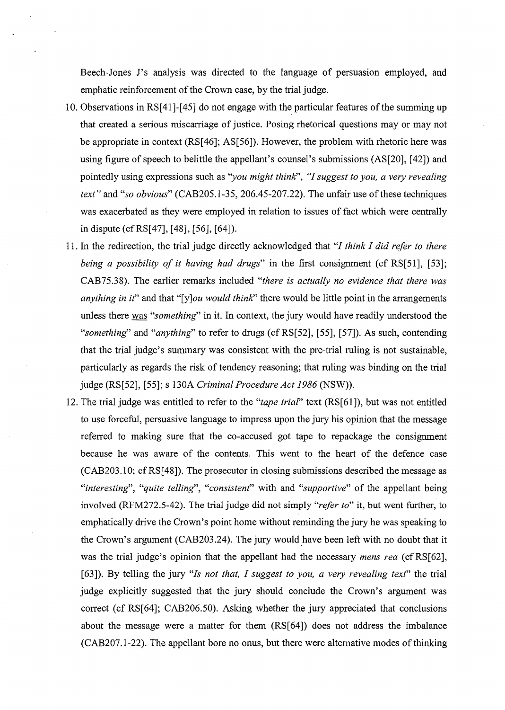Beech-Jones J's analysis was directed to the language of persuasion employed, and emphatic reinforcement of the Crown case, by the trial judge.

- 10. Observations in RS[41]-[45] do not engage with the particular features of the summing up that created a serious miscarriage of justice. Posing rhetorical questions may or may not be appropriate in context (RS[46]; AS[56]). However, the problem with rhetoric here was using figure of speech to belittle the appellant's counsel's submissions (AS[20], [ 42]) and pointedly using expressions such as *"you might thinR', "I suggest to you, a very revealing text"* and "so obvious" (CAB205.1-35, 206.45-207.22). The unfair use of these techniques was exacerbated as they were employed in relation to issues of fact which were centrally in dispute (cfRS[47], [48], [56], [64]).
- 11. In the redirection, the trial judge directly acknowledged that *"I think I did refer to there being a possibility of it having had drugs"* in the first consignment (cf RS[51], [53]; CAB75.38). The earlier remarks included *"there is actually no evidence that there was anything in it*" and that "[y]*ou would think*" there would be little point in the arrangements unless there was *"something"* in it. In context, the jury would have readily understood the *"something"* and *"anything"* to refer to drugs (cfRS[52], [55], [57]). As such, contending that the trial judge's summary was consistent with the pre-trial ruling is not sustainable, particularly as regards the risk of tendency reasoning; that ruling was binding on the trial judge (RS[52], [55]; s 130A *Criminal Procedure Act 1986* (NSW)).
- 12. The trial judge was entitled to refer to the *"tape trial"* text (RS[61]), but was not entitled to use forceful, persuasive language to impress upon the jury his opinion that the message referred to making sure that the co-accused got tape to repackage the consignment because he was aware of the contents. This went to the heart of the defence case (CAB203.10; cfRS[48]). The prosecutor in closing submissions described the message as *"interesting", "quite telling", "consistent"* with and *"supportive"* of the appellant being involved (RFM272.5-42). The trial judge did not simply *"refer to"* it, but went further, to emphatically drive the Crown's point home without reminding the jury he was speaking to the Crown's argument (CAB203.24). The jury would have been left with no doubt that it was the trial judge's opinion that the appellant had the necessary *mens rea* (cfRS[62], [63]). By telling the jury *"Is not that, I suggest to you, a very revealing text"* the trial judge explicitly suggested that the jury should conclude the Crown's argument was correct (cf RS[64]; CAB206.50). Asking whether the jury appreciated that conclusions about the message were a matter for them (RS[64]) does not address the imbalance (CAB207.1-22). The appellant bore no onus, but there were alternative modes of thinking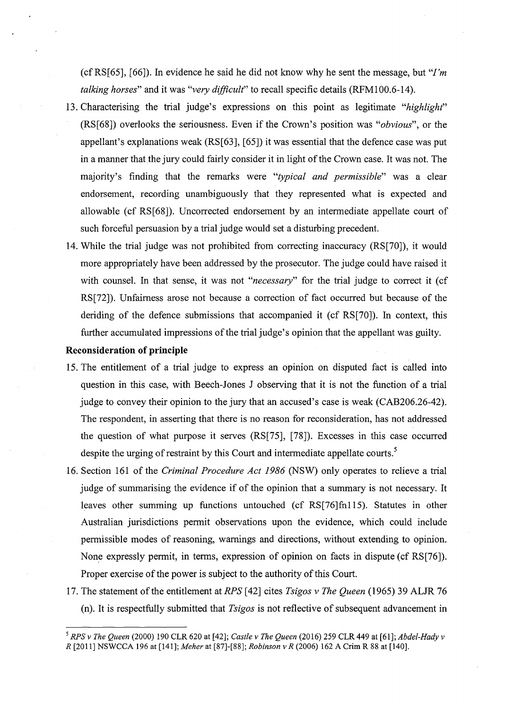(cfRS[65], [66]). In evidence he said he did not know why he sent the message, but *"I'm talking horses"* and it was *"very difficult"* to recall specific details (RFM100.6-14).

- 13. Characterising the trial judge's expressions on this point as legitimate *"highlight"*  (RS[68]) overlooks the seriousness. Even if the Crown's position was *"obvious",* or the appellant's explanations weak (RS[63], [65]) it was essential that the defence case was put in a manner that the jury could fairly consider it in light of the Crown case. It was not. The majority's finding that the remarks were *"typical and permissible"* was a clear endorsement, recording unambiguously that they represented what is expected and allowable (cf RS[68]). Uncorrected endorsement by an intermediate appellate court of such forceful persuasion by a trial judge would set a disturbing precedent.
- 14. While the trial judge was not prohibited from correcting inaccuracy (RS[70]), it would more appropriately have been addressed by the prosecutor. The judge could have raised it with counsel. In that sense, it was not "necessary" for the trial judge to correct it (cf RS[72]). Unfairness arose not because a correction of fact occurred but because of the deriding of the defence submissions that accompanied it (cf RS[70]). In context, this further accumulated impressions of the trial judge's opinion that the appellant was guilty.

## **Reconsideration of principle**

- 15. The entitlement of a trial judge to express an opinion on disputed fact is called into question in this case, with Beech-Jones J observing that it is not the function of a trial judge to convey their opinion to the jury that an accused's case is weak (CAB206.26-42). The respondent, in asserting that there is no reason for reconsideration, has not addressed the question of what purpose it serves (RS[75], [78]). Excesses in this case occurred despite the urging of restraint by this Court and intermediate appellate courts.<sup>5</sup>
- 16. Section 161 of the *Criminal Procedure Act 1986* (NSW) only operates to relieve a trial judge of summarising the evidence if of the opinion that a summary is not necessary. It leaves other summing up functions untouched (cf RS[76]fn115). Statutes in other Australian jurisdictions permit observations upon the evidence, which could include permissible modes of reasoning, warnings and directions, without extending to opinion. None expressly permit, in terms, expression of opinion on facts in dispute (cf RS[76]). Proper exercise of the power is subject to the authority of this Court.
- 17. The statement of the entitlement at *RPS* [ 42] cites *Tsigos v The Queen* (1965) 39 ALJR 76 (n). It is respectfully submitted that *Tsigos* is not reflective of subsequent advancement in

*<sup>5</sup> RPSv The Queen* (2000) 190 CLR 620 at [42]; *Castle v The Queen* (2016) 259 CLR449 at *[6l];Abdel-Hady v R* [2011] NSWCCA 196 at [141]; *Meher* at [87]-[88]; *Robinson v R* (2006) 162 A Crim R 88 at [140].